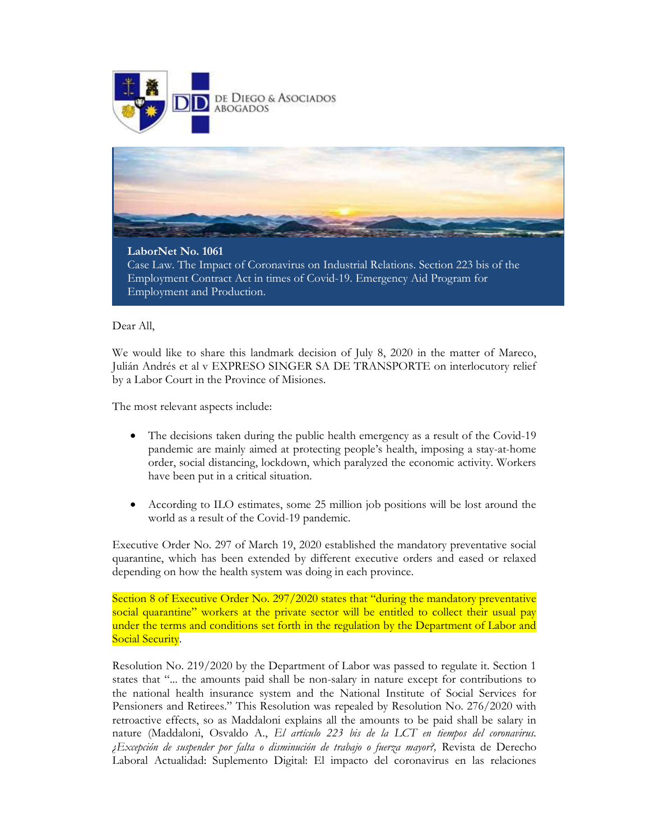



## LaborNet No. 1061

Case Law. The Impact of Coronavirus on Industrial Relations. Section 223 bis of the Employment Contract Act in times of Covid-19. Emergency Aid Program for Employment and Production.

## Dear All,

We would like to share this landmark decision of July 8, 2020 in the matter of Mareco, Julián Andrés et al v EXPRESO SINGER SA DE TRANSPORTE on interlocutory relief by a Labor Court in the Province of Misiones.

The most relevant aspects include:

- The decisions taken during the public health emergency as a result of the Covid-19 pandemic are mainly aimed at protecting people's health, imposing a stay-at-home order, social distancing, lockdown, which paralyzed the economic activity. Workers have been put in a critical situation.
- According to ILO estimates, some 25 million job positions will be lost around the world as a result of the Covid-19 pandemic.

Executive Order No. 297 of March 19, 2020 established the mandatory preventative social quarantine, which has been extended by different executive orders and eased or relaxed depending on how the health system was doing in each province.

Section 8 of Executive Order No. 297/2020 states that "during the mandatory preventative social quarantine" workers at the private sector will be entitled to collect their usual pay under the terms and conditions set forth in the regulation by the Department of Labor and Social Security.

Resolution No. 219/2020 by the Department of Labor was passed to regulate it. Section 1 states that "... the amounts paid shall be non-salary in nature except for contributions to the national health insurance system and the National Institute of Social Services for Pensioners and Retirees." This Resolution was repealed by Resolution No. 276/2020 with retroactive effects, so as Maddaloni explains all the amounts to be paid shall be salary in nature (Maddaloni, Osvaldo A., El artículo 223 bis de la LCT en tiempos del coronavirus. ¿Excepción de suspender por falta o disminución de trabajo o fuerza mayor?, Revista de Derecho Laboral Actualidad: Suplemento Digital: El impacto del coronavirus en las relaciones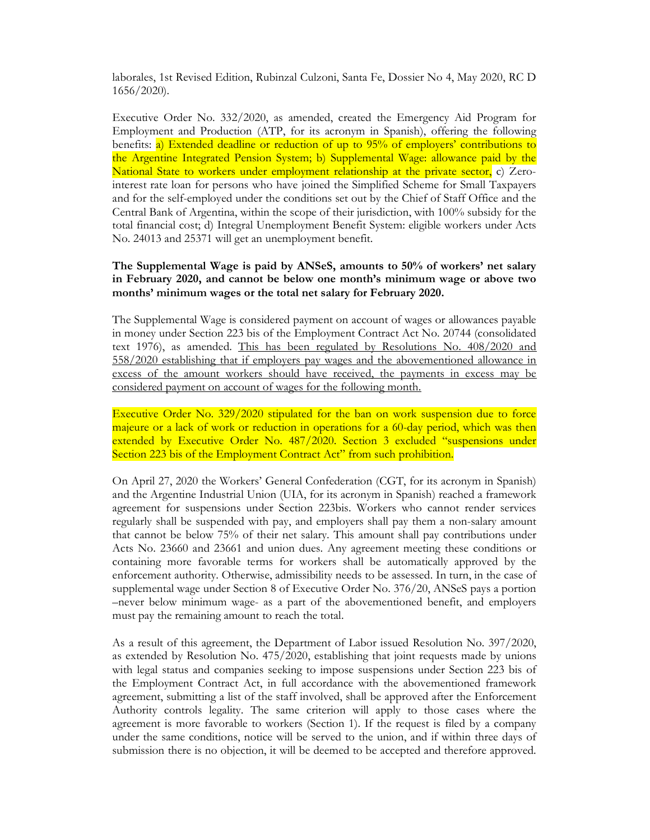laborales, 1st Revised Edition, Rubinzal Culzoni, Santa Fe, Dossier No 4, May 2020, RC D 1656/2020).

Executive Order No. 332/2020, as amended, created the Emergency Aid Program for Employment and Production (ATP, for its acronym in Spanish), offering the following benefits: a) Extended deadline or reduction of up to 95% of employers' contributions to the Argentine Integrated Pension System; b) Supplemental Wage: allowance paid by the National State to workers under employment relationship at the private sector, c) Zerointerest rate loan for persons who have joined the Simplified Scheme for Small Taxpayers and for the self-employed under the conditions set out by the Chief of Staff Office and the Central Bank of Argentina, within the scope of their jurisdiction, with 100% subsidy for the total financial cost; d) Integral Unemployment Benefit System: eligible workers under Acts No. 24013 and 25371 will get an unemployment benefit.

## The Supplemental Wage is paid by ANSeS, amounts to 50% of workers' net salary in February 2020, and cannot be below one month's minimum wage or above two months' minimum wages or the total net salary for February 2020.

The Supplemental Wage is considered payment on account of wages or allowances payable in money under Section 223 bis of the Employment Contract Act No. 20744 (consolidated text 1976), as amended. This has been regulated by Resolutions No. 408/2020 and 558/2020 establishing that if employers pay wages and the abovementioned allowance in excess of the amount workers should have received, the payments in excess may be considered payment on account of wages for the following month.

Executive Order No. 329/2020 stipulated for the ban on work suspension due to force majeure or a lack of work or reduction in operations for a 60-day period, which was then extended by Executive Order No. 487/2020. Section 3 excluded "suspensions under Section 223 bis of the Employment Contract Act" from such prohibition.

On April 27, 2020 the Workers' General Confederation (CGT, for its acronym in Spanish) and the Argentine Industrial Union (UIA, for its acronym in Spanish) reached a framework agreement for suspensions under Section 223bis. Workers who cannot render services regularly shall be suspended with pay, and employers shall pay them a non-salary amount that cannot be below 75% of their net salary. This amount shall pay contributions under Acts No. 23660 and 23661 and union dues. Any agreement meeting these conditions or containing more favorable terms for workers shall be automatically approved by the enforcement authority. Otherwise, admissibility needs to be assessed. In turn, in the case of supplemental wage under Section 8 of Executive Order No. 376/20, ANSeS pays a portion –never below minimum wage- as a part of the abovementioned benefit, and employers must pay the remaining amount to reach the total.

As a result of this agreement, the Department of Labor issued Resolution No. 397/2020, as extended by Resolution No. 475/2020, establishing that joint requests made by unions with legal status and companies seeking to impose suspensions under Section 223 bis of the Employment Contract Act, in full accordance with the abovementioned framework agreement, submitting a list of the staff involved, shall be approved after the Enforcement Authority controls legality. The same criterion will apply to those cases where the agreement is more favorable to workers (Section 1). If the request is filed by a company under the same conditions, notice will be served to the union, and if within three days of submission there is no objection, it will be deemed to be accepted and therefore approved.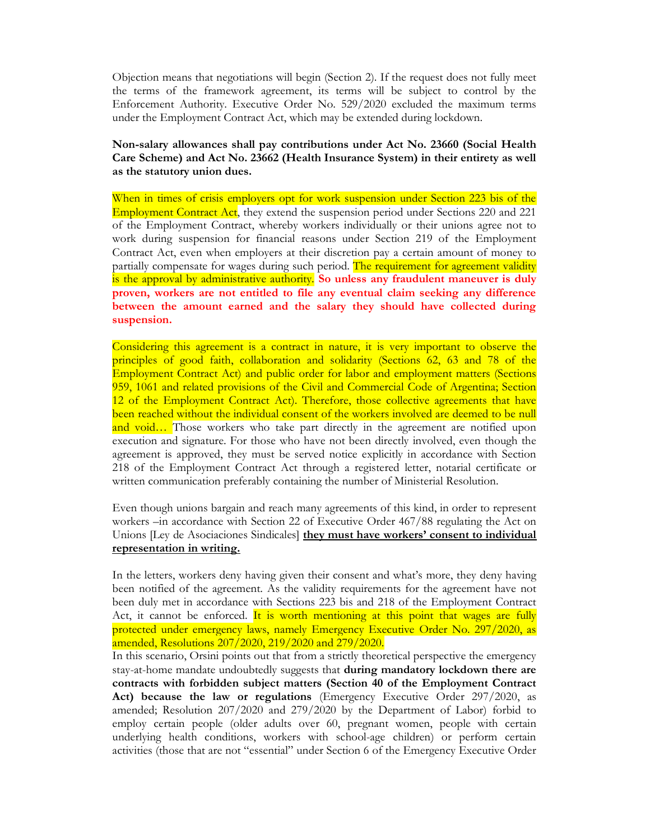Objection means that negotiations will begin (Section 2). If the request does not fully meet the terms of the framework agreement, its terms will be subject to control by the Enforcement Authority. Executive Order No. 529/2020 excluded the maximum terms under the Employment Contract Act, which may be extended during lockdown.

Non-salary allowances shall pay contributions under Act No. 23660 (Social Health Care Scheme) and Act No. 23662 (Health Insurance System) in their entirety as well as the statutory union dues.

When in times of crisis employers opt for work suspension under Section 223 bis of the Employment Contract Act, they extend the suspension period under Sections 220 and 221 of the Employment Contract, whereby workers individually or their unions agree not to work during suspension for financial reasons under Section 219 of the Employment Contract Act, even when employers at their discretion pay a certain amount of money to partially compensate for wages during such period. The requirement for agreement validity is the approval by administrative authority. So unless any fraudulent maneuver is duly proven, workers are not entitled to file any eventual claim seeking any difference between the amount earned and the salary they should have collected during suspension.

Considering this agreement is a contract in nature, it is very important to observe the principles of good faith, collaboration and solidarity (Sections 62, 63 and 78 of the Employment Contract Act) and public order for labor and employment matters (Sections 959, 1061 and related provisions of the Civil and Commercial Code of Argentina; Section 12 of the Employment Contract Act). Therefore, those collective agreements that have been reached without the individual consent of the workers involved are deemed to be null and void... Those workers who take part directly in the agreement are notified upon execution and signature. For those who have not been directly involved, even though the agreement is approved, they must be served notice explicitly in accordance with Section 218 of the Employment Contract Act through a registered letter, notarial certificate or written communication preferably containing the number of Ministerial Resolution.

Even though unions bargain and reach many agreements of this kind, in order to represent workers –in accordance with Section 22 of Executive Order 467/88 regulating the Act on Unions [Ley de Asociaciones Sindicales] they must have workers' consent to individual representation in writing.

In the letters, workers deny having given their consent and what's more, they deny having been notified of the agreement. As the validity requirements for the agreement have not been duly met in accordance with Sections 223 bis and 218 of the Employment Contract Act, it cannot be enforced. It is worth mentioning at this point that wages are fully protected under emergency laws, namely Emergency Executive Order No. 297/2020, as amended, Resolutions 207/2020, 219/2020 and 279/2020.

In this scenario, Orsini points out that from a strictly theoretical perspective the emergency stay-at-home mandate undoubtedly suggests that during mandatory lockdown there are contracts with forbidden subject matters (Section 40 of the Employment Contract Act) because the law or regulations (Emergency Executive Order 297/2020, as amended; Resolution 207/2020 and 279/2020 by the Department of Labor) forbid to employ certain people (older adults over 60, pregnant women, people with certain underlying health conditions, workers with school-age children) or perform certain activities (those that are not "essential" under Section 6 of the Emergency Executive Order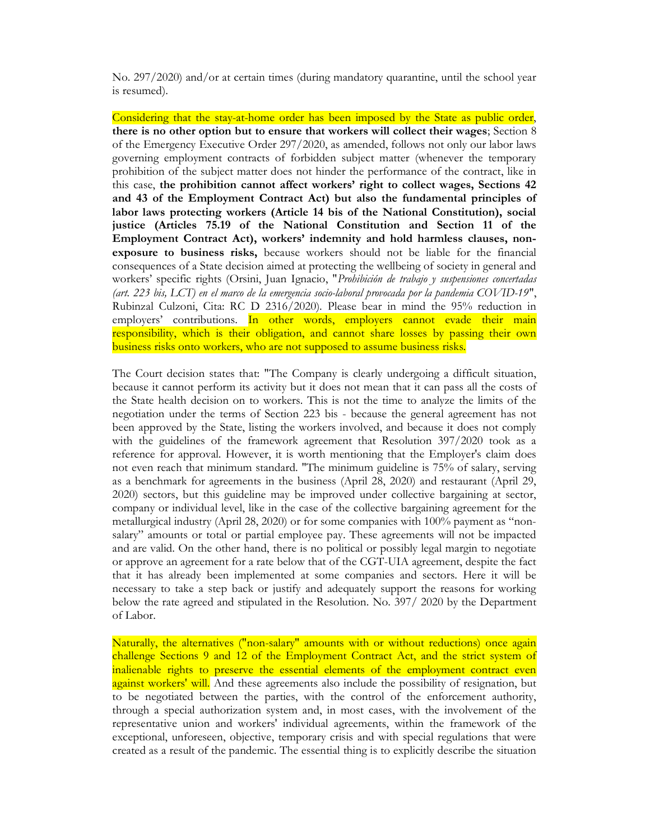No. 297/2020) and/or at certain times (during mandatory quarantine, until the school year is resumed).

Considering that the stay-at-home order has been imposed by the State as public order, there is no other option but to ensure that workers will collect their wages; Section 8 of the Emergency Executive Order 297/2020, as amended, follows not only our labor laws governing employment contracts of forbidden subject matter (whenever the temporary prohibition of the subject matter does not hinder the performance of the contract, like in this case, the prohibition cannot affect workers' right to collect wages, Sections 42 and 43 of the Employment Contract Act) but also the fundamental principles of labor laws protecting workers (Article 14 bis of the National Constitution), social justice (Articles 75.19 of the National Constitution and Section 11 of the Employment Contract Act), workers' indemnity and hold harmless clauses, nonexposure to business risks, because workers should not be liable for the financial consequences of a State decision aimed at protecting the wellbeing of society in general and workers' specific rights (Orsini, Juan Ignacio, "Prohibición de trabajo y suspensiones concertadas (art. 223 bis, LCT) en el marco de la emergencia socio-laboral provocada por la pandemia COVID-19", Rubinzal Culzoni, Cita: RC D 2316/2020). Please bear in mind the 95% reduction in employers' contributions. In other words, employers cannot evade their main responsibility, which is their obligation, and cannot share losses by passing their own business risks onto workers, who are not supposed to assume business risks.

The Court decision states that: "The Company is clearly undergoing a difficult situation, because it cannot perform its activity but it does not mean that it can pass all the costs of the State health decision on to workers. This is not the time to analyze the limits of the negotiation under the terms of Section 223 bis - because the general agreement has not been approved by the State, listing the workers involved, and because it does not comply with the guidelines of the framework agreement that Resolution 397/2020 took as a reference for approval. However, it is worth mentioning that the Employer's claim does not even reach that minimum standard. "The minimum guideline is 75% of salary, serving as a benchmark for agreements in the business (April 28, 2020) and restaurant (April 29, 2020) sectors, but this guideline may be improved under collective bargaining at sector, company or individual level, like in the case of the collective bargaining agreement for the metallurgical industry (April 28, 2020) or for some companies with 100% payment as "nonsalary" amounts or total or partial employee pay. These agreements will not be impacted and are valid. On the other hand, there is no political or possibly legal margin to negotiate or approve an agreement for a rate below that of the CGT-UIA agreement, despite the fact that it has already been implemented at some companies and sectors. Here it will be necessary to take a step back or justify and adequately support the reasons for working below the rate agreed and stipulated in the Resolution. No. 397/ 2020 by the Department of Labor.

Naturally, the alternatives ("non-salary" amounts with or without reductions) once again challenge Sections 9 and 12 of the Employment Contract Act, and the strict system of inalienable rights to preserve the essential elements of the employment contract even against workers' will. And these agreements also include the possibility of resignation, but to be negotiated between the parties, with the control of the enforcement authority, through a special authorization system and, in most cases, with the involvement of the representative union and workers' individual agreements, within the framework of the exceptional, unforeseen, objective, temporary crisis and with special regulations that were created as a result of the pandemic. The essential thing is to explicitly describe the situation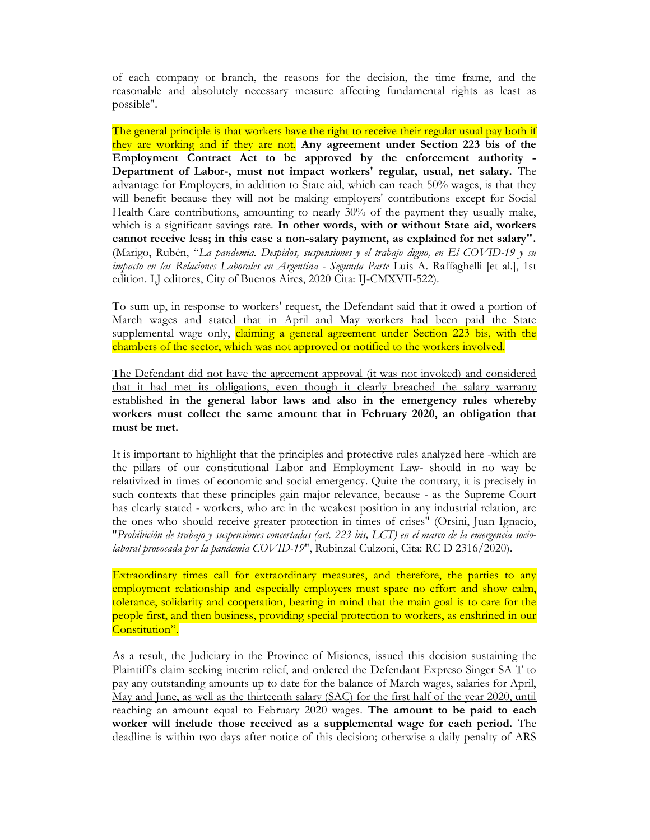of each company or branch, the reasons for the decision, the time frame, and the reasonable and absolutely necessary measure affecting fundamental rights as least as possible".

The general principle is that workers have the right to receive their regular usual pay both if they are working and if they are not. Any agreement under Section 223 bis of the Employment Contract Act to be approved by the enforcement authority - Department of Labor-, must not impact workers' regular, usual, net salary. The advantage for Employers, in addition to State aid, which can reach 50% wages, is that they will benefit because they will not be making employers' contributions except for Social Health Care contributions, amounting to nearly 30% of the payment they usually make, which is a significant savings rate. In other words, with or without State aid, workers cannot receive less; in this case a non-salary payment, as explained for net salary". (Marigo, Rubén, "La pandemia. Despidos, suspensiones y el trabajo digno, en El COVID-19 y su impacto en las Relaciones Laborales en Argentina - Segunda Parte Luis A. Raffaghelli [et al.], 1st edition. I,J editores, City of Buenos Aires, 2020 Cita: IJ-CMXVII-522).

To sum up, in response to workers' request, the Defendant said that it owed a portion of March wages and stated that in April and May workers had been paid the State supplemental wage only, claiming a general agreement under Section 223 bis, with the chambers of the sector, which was not approved or notified to the workers involved.

The Defendant did not have the agreement approval (it was not invoked) and considered that it had met its obligations, even though it clearly breached the salary warranty established in the general labor laws and also in the emergency rules whereby workers must collect the same amount that in February 2020, an obligation that must be met.

It is important to highlight that the principles and protective rules analyzed here -which are the pillars of our constitutional Labor and Employment Law- should in no way be relativized in times of economic and social emergency. Quite the contrary, it is precisely in such contexts that these principles gain major relevance, because - as the Supreme Court has clearly stated - workers, who are in the weakest position in any industrial relation, are the ones who should receive greater protection in times of crises" (Orsini, Juan Ignacio, "Prohibición de trabajo y suspensiones concertadas (art. 223 bis, LCT) en el marco de la emergencia sociolaboral provocada por la pandemia COVID-19", Rubinzal Culzoni, Cita: RC D 2316/2020).

Extraordinary times call for extraordinary measures, and therefore, the parties to any employment relationship and especially employers must spare no effort and show calm, tolerance, solidarity and cooperation, bearing in mind that the main goal is to care for the people first, and then business, providing special protection to workers, as enshrined in our Constitution".

As a result, the Judiciary in the Province of Misiones, issued this decision sustaining the Plaintiff's claim seeking interim relief, and ordered the Defendant Expreso Singer SA T to pay any outstanding amounts up to date for the balance of March wages, salaries for April, May and June, as well as the thirteenth salary (SAC) for the first half of the year 2020, until reaching an amount equal to February 2020 wages. The amount to be paid to each worker will include those received as a supplemental wage for each period. The deadline is within two days after notice of this decision; otherwise a daily penalty of ARS